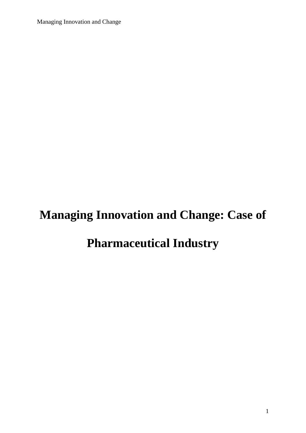# **Managing Innovation and Change: Case of**

# **Pharmaceutical Industry**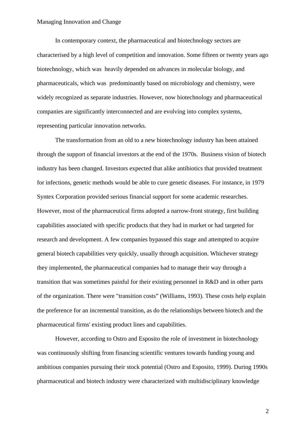In contemporary context, the pharmaceutical and biotechnology sectors are characterised by a high level of competition and innovation. Some fifteen or twenty years ago biotechnology, which was heavily depended on advances in molecular biology, and pharmaceuticals, which was predominantly based on microbiology and chemistry, were widely recognized as separate industries. However, now biotechnology and pharmaceutical companies are significantly interconnected and are evolving into complex systems, representing particular innovation networks.

The transformation from an old to a new biotechnology industry has been attained through the support of financial investors at the end of the 1970s. Business vision of biotech industry has been changed. Investors expected that alike antibiotics that provided treatment for infections, genetic methods would be able to cure genetic diseases. For instance, in 1979 Syntex Corporation provided serious financial support for some academic researches. However, most of the pharmaceutical firms adopted a narrow-front strategy, first building capabilities associated with specific products that they had in market or had targeted for research and development. A few companies bypassed this stage and attempted to acquire general biotech capabilities very quickly, usually through acquisition. Whichever strategy they implemented, the pharmaceutical companies had to manage their way through a transition that was sometimes painful for their existing personnel in R&D and in other parts of the organization. There were "transition costs" (Williams, 1993). These costs help explain the preference for an incremental transition, as do the relationships between biotech and the pharmaceutical firms' existing product lines and capabilities.

However, according to Ostro and Esposito the role of investment in biotechnology was continuously shifting from financing scientific ventures towards funding young and ambitious companies pursuing their stock potential (Ostro and Esposito, 1999). During 1990s pharmaceutical and biotech industry were characterized with multidisciplinary knowledge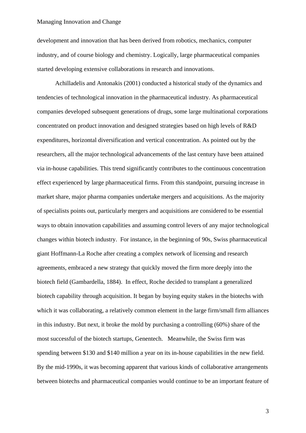development and innovation that has been derived from robotics, mechanics, computer industry, and of course biology and chemistry. Logically, large pharmaceutical companies started developing extensive collaborations in research and innovations.

Achilladelis and Antonakis (2001) conducted a historical study of the dynamics and tendencies of technological innovation in the pharmaceutical industry. As pharmaceutical companies developed subsequent generations of drugs, some large multinational corporations concentrated on product innovation and designed strategies based on high levels of R&D expenditures, horizontal diversification and vertical concentration. As pointed out by the researchers, all the major technological advancements of the last century have been attained via in-house capabilities. This trend significantly contributes to the continuous concentration effect experienced by large pharmaceutical firms. From this standpoint, pursuing increase in market share, major pharma companies undertake mergers and acquisitions. As the majority of specialists points out, particularly mergers and acquisitions are considered to be essential ways to obtain innovation capabilities and assuming control levers of any major technological changes within biotech industry. For instance, in the beginning of 90s, Swiss pharmaceutical giant Hoffmann-La Roche after creating a complex network of licensing and research agreements, embraced a new strategy that quickly moved the firm more deeply into the biotech field (Gambardella, 1884). In effect, Roche decided to transplant a generalized biotech capability through acquisition. It began by buying equity stakes in the biotechs with which it was collaborating, a relatively common element in the large firm/small firm alliances in this industry. But next, it broke the mold by purchasing a controlling (60%) share of the most successful of the biotech startups, Genentech. Meanwhile, the Swiss firm was spending between \$130 and \$140 million a year on its in-house capabilities in the new field. By the mid-1990s, it was becoming apparent that various kinds of collaborative arrangements between biotechs and pharmaceutical companies would continue to be an important feature of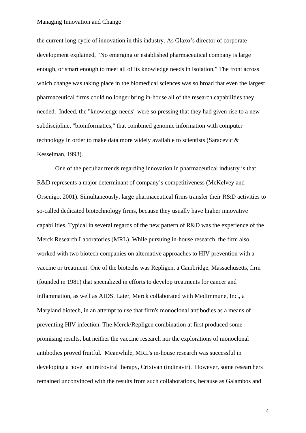the current long cycle of innovation in this industry. As Glaxo's director of corporate development explained, "No emerging or established pharmaceutical company is large enough, or smart enough to meet all of its knowledge needs in isolation." The front across which change was taking place in the biomedical sciences was so broad that even the largest pharmaceutical firms could no longer bring in-house all of the research capabilities they needed. Indeed, the "knowledge needs" were so pressing that they had given rise to a new subdiscipline, "bioinformatics," that combined genomic information with computer technology in order to make data more widely available to scientists (Saracevic & Kesselman, 1993).

One of the peculiar trends regarding innovation in pharmaceutical industry is that R&D represents a major determinant of company's competitiveness (McKelvey and Orsenigo, 2001). Simultaneously, large pharmaceutical firms transfer their R&D activities to so-called dedicated biotechnology firms, because they usually have higher innovative capabilities. Typical in several regards of the new pattern of R&D was the experience of the Merck Research Laboratories (MRL). While pursuing in-house research, the firm also worked with two biotech companies on alternative approaches to HIV prevention with a vaccine or treatment. One of the biotechs was Repligen, a Cambridge, Massachusetts, firm (founded in 1981) that specialized in efforts to develop treatments for cancer and inflammation, as well as AIDS. Later, Merck collaborated with MedImmune, Inc., a Maryland biotech, in an attempt to use that firm's monoclonal antibodies as a means of preventing HIV infection. The Merck/Repligen combination at first produced some promising results, but neither the vaccine research nor the explorations of monoclonal antibodies proved fruitful. Meanwhile, MRL's in-house research was successful in developing a novel antiretroviral therapy, Crixivan (indinavir). However, some researchers remained unconvinced with the results from such collaborations, because as Galambos and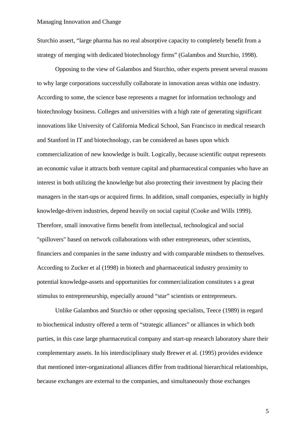Sturchio assert, "large pharma has no real absorptive capacity to completely benefit from a strategy of merging with dedicated biotechnology firms" (Galambos and Sturchio, 1998).

Opposing to the view of Galambos and Sturchio, other experts present several reasons to why large corporations successfully collaborate in innovation areas within one industry. According to some, the science base represents a magnet for information technology and biotechnology business. Colleges and universities with a high rate of generating significant innovations like University of California Medical School, San Francisco in medical research and Stanford in IT and biotechnology, can be considered as bases upon which commercialization of new knowledge is built. Logically, because scientific output represents an economic value it attracts both venture capital and pharmaceutical companies who have an interest in both utilizing the knowledge but also protecting their investment by placing their managers in the start-ups or acquired firms. In addition, small companies, especially in highly knowledge-driven industries, depend heavily on social capital (Cooke and Wills 1999). Therefore, small innovative firms benefit from intellectual, technological and social "spillovers" based on network collaborations with other entrepreneurs, other scientists, financiers and companies in the same industry and with comparable mindsets to themselves. According to Zucker et al (1998) in biotech and pharmaceutical industry proximity to potential knowledge-assets and opportunities for commercialization constitutes s a great stimulus to entrepreneurship, especially around "star" scientists or entrepreneurs.

Unlike Galambos and Sturchio or other opposing specialists, Teece (1989) in regard to biochemical industry offered a term of "strategic alliances" or alliances in which both parties, in this case large pharmaceutical company and start-up research laboratory share their complementary assets. In his interdisciplinary study Brewer et al. (1995) provides evidence that mentioned inter-organizational alliances differ from traditional hierarchical relationships, because exchanges are external to the companies, and simultaneously those exchanges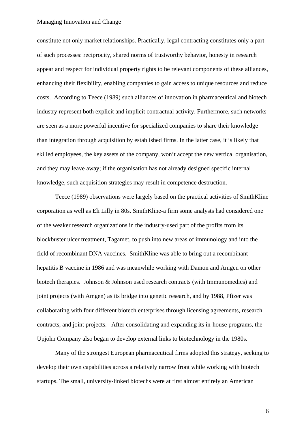constitute not only market relationships. Practically, legal contracting constitutes only a part of such processes: reciprocity, shared norms of trustworthy behavior, honesty in research appear and respect for individual property rights to be relevant components of these alliances, enhancing their flexibility, enabling companies to gain access to unique resources and reduce costs. According to Teece (1989) such alliances of innovation in pharmaceutical and biotech industry represent both explicit and implicit contractual activity. Furthermore, such networks are seen as a more powerful incentive for specialized companies to share their knowledge than integration through acquisition by established firms. In the latter case, it is likely that skilled employees, the key assets of the company, won't accept the new vertical organisation, and they may leave away; if the organisation has not already designed specific internal knowledge, such acquisition strategies may result in competence destruction.

Teece (1989) observations were largely based on the practical activities of SmithKline corporation as well as Eli Lilly in 80s. SmithKline-a firm some analysts had considered one of the weaker research organizations in the industry-used part of the profits from its blockbuster ulcer treatment, Tagamet, to push into new areas of immunology and into the field of recombinant DNA vaccines. SmithKline was able to bring out a recombinant hepatitis B vaccine in 1986 and was meanwhile working with Damon and Amgen on other biotech therapies. Johnson & Johnson used research contracts (with Immunomedics) and joint projects (with Amgen) as its bridge into genetic research, and by 1988, Pfizer was collaborating with four different biotech enterprises through licensing agreements, research contracts, and joint projects. After consolidating and expanding its in-house programs, the Upjohn Company also began to develop external links to biotechnology in the 1980s.

Many of the strongest European pharmaceutical firms adopted this strategy, seeking to develop their own capabilities across a relatively narrow front while working with biotech startups. The small, university-linked biotechs were at first almost entirely an American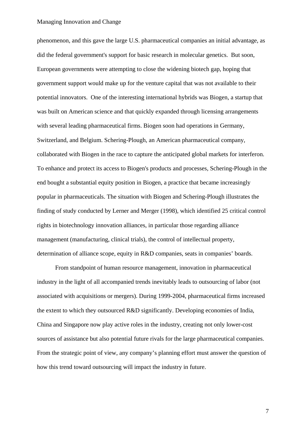phenomenon, and this gave the large U.S. pharmaceutical companies an initial advantage, as did the federal government's support for basic research in molecular genetics. But soon, European governments were attempting to close the widening biotech gap, hoping that government support would make up for the venture capital that was not available to their potential innovators. One of the interesting international hybrids was Biogen, a startup that was built on American science and that quickly expanded through licensing arrangements with several leading pharmaceutical firms. Biogen soon had operations in Germany, Switzerland, and Belgium. Schering-Plough, an American pharmaceutical company, collaborated with Biogen in the race to capture the anticipated global markets for interferon. To enhance and protect its access to Biogen's products and processes, Schering-Plough in the end bought a substantial equity position in Biogen, a practice that became increasingly popular in pharmaceuticals. The situation with Biogen and Schering-Plough illustrates the finding of study conducted by Lerner and Merger (1998), which identified 25 critical control rights in biotechnology innovation alliances, in particular those regarding alliance management (manufacturing, clinical trials), the control of intellectual property, determination of alliance scope, equity in R&D companies, seats in companies' boards.

From standpoint of human resource management, innovation in pharmaceutical industry in the light of all accompanied trends inevitably leads to outsourcing of labor (not associated with acquisitions or mergers). During 1999-2004, pharmaceutical firms increased the extent to which they outsourced R&D significantly. Developing economies of India, China and Singapore now play active roles in the industry, creating not only lower-cost sources of assistance but also potential future rivals for the large pharmaceutical companies. From the strategic point of view, any company's planning effort must answer the question of how this trend toward outsourcing will impact the industry in future.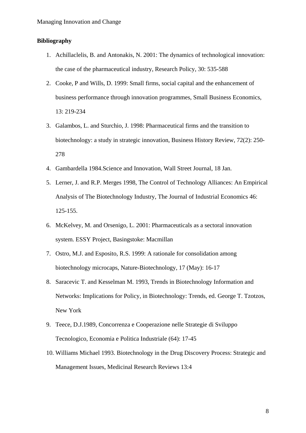## **Bibliography**

- 1. Achillaclelis, B. and Antonakis, N. 2001: The dynamics of technological innovation: the case of the pharmaceutical industry, Research Policy, 30: 535-588
- 2. Cooke, P and Wills, D. 1999: Small firms, social capital and the enhancement of business performance through innovation programmes, Small Business Economics, 13: 219-234
- 3. Galambos, L. and Sturchio, J. 1998: Pharmaceutical firms and the transition to biotechnology: a study in strategic innovation, Business History Review, 72(2): 250- 278
- 4. Gambardella 1984.Science and Innovation, Wall Street Journal, 18 Jan.
- 5. Lerner, J. and R.P. Merges 1998, The Control of Technology Alliances: An Empirical Analysis of The Biotechnology Industry, The Journal of Industrial Economics 46: 125-155.
- 6. McKelvey, M. and Orsenigo, L. 2001: Pharmaceuticals as a sectoral innovation system. ESSY Project, Basingstoke: Macmillan
- 7. Ostro, M.J. and Esposito, R.S. 1999: A rationale for consolidation among biotechnology microcaps, Nature-Biotechnology, 17 (May): 16-17
- 8. Saracevic T. and Kesselman M. 1993, Trends in Biotechnology Information and Networks: Implications for Policy, in Biotechnology: Trends, ed. George T. Tzotzos, New York
- 9. Teece, D.J.1989, Concorrenza e Cooperazione nelle Strategie di Sviluppo Tecnologico, Economia e Politica Industriale (64): 17-45
- 10. Williams Michael 1993. Biotechnology in the Drug Discovery Process: Strategic and Management Issues, Medicinal Research Reviews 13:4